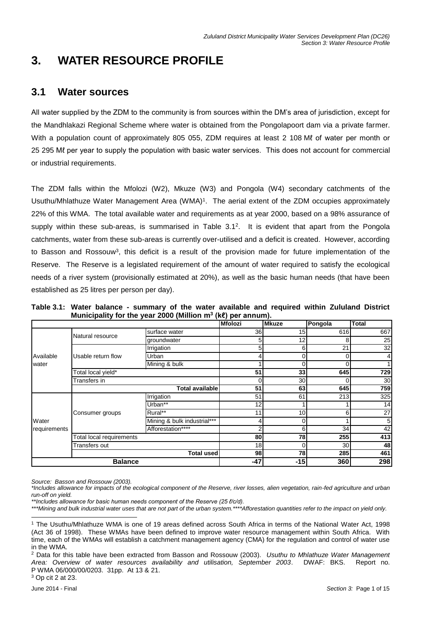# **3. WATER RESOURCE PROFILE**

## **3.1 Water sources**

All water supplied by the ZDM to the community is from sources within the DM's area of jurisdiction, except for the Mandhlakazi Regional Scheme where water is obtained from the Pongolapoort dam via a private farmer. With a population count of approximately 805 055, ZDM requires at least 2 108 Mℓ of water per month or 25 295 Mℓ per year to supply the population with basic water services. This does not account for commercial or industrial requirements.

The ZDM falls within the Mfolozi (W2), Mkuze (W3) and Pongola (W4) secondary catchments of the Usuthu/Mhlathuze Water Management Area (WMA)<sup>1</sup>. The aerial extent of the ZDM occupies approximately 22% of this WMA. The total available water and requirements as at year 2000, based on a 98% assurance of supply within these sub-areas, is summarised in Table 3.1<sup>2</sup>. It is evident that apart from the Pongola catchments, water from these sub-areas is currently over-utilised and a deficit is created. However, according to Basson and Rossouw<sup>3</sup>, this deficit is a result of the provision made for future implementation of the Reserve. The Reserve is a legislated requirement of the amount of water required to satisfy the ecological needs of a river system (provisionally estimated at 20%), as well as the basic human needs (that have been established as 25 litres per person per day).

|  | Table 3.1: Water balance - summary of the water available and required within Zululand District |  |  |  |  |
|--|-------------------------------------------------------------------------------------------------|--|--|--|--|
|  | Municipality for the year 2000 (Million $m^3$ (ke) per annum).                                  |  |  |  |  |
|  |                                                                                                 |  |  |  |  |

|              |                          |                             | <b>Mfolozi</b>  | <b>Mkuze</b>    | Pongola | <b>Total</b>    |
|--------------|--------------------------|-----------------------------|-----------------|-----------------|---------|-----------------|
|              | Natural resource         | surface water               | 36              | 15              | 616     | 667             |
|              |                          | groundwater                 | 5               | 12 <sub>1</sub> | 8       | 25              |
|              |                          | Irrigation                  | 5               | 6               | 21      | 32              |
| Available    | Usable return flow       | Urban                       |                 | 0               | 0       | $\overline{4}$  |
| water        |                          | Mining & bulk               |                 | 0               | 0       |                 |
|              | Total local yield*       |                             | 51              | 33              | 645     | 729             |
|              | Transfers in             |                             |                 | 30              | 0       | 30 <sub>l</sub> |
|              |                          | <b>Total available</b>      | 51              | 63              | 645     | 759             |
|              |                          | Irrigation                  | 51              | 61              | 213     | 325             |
|              |                          | Urban**                     | 12              |                 |         | 14              |
|              | Consumer groups          | Rural**                     | 11              | 10              | 6       | 27              |
| Water        |                          | Mining & bulk industrial*** |                 | 0               |         | $5\overline{)}$ |
| requirements |                          | Afforestation****           |                 | 6               | 34      | 42              |
|              | Total local requirements |                             | 80              | 78              | 255     | 413             |
|              | Transfers out            |                             | 18 <sub>l</sub> | 0               | 30      | 48              |
|              |                          | <b>Total used</b>           | 98              | 78              | 285     | 461             |
|              | <b>Balance</b>           |                             | $-47$           | $-15$           | 360     | 298             |

*Source: Basson and Rossouw (2003).*

l

*<sup>\*</sup>Includes allowance for impacts of the ecological component of the Reserve, river losses, alien vegetation, rain-fed agriculture and urban run-off on yield.*

*<sup>\*\*</sup>Includes allowance for basic human needs component of the Reserve (25 ℓ/c/d).*

*<sup>\*\*\*</sup>Mining and bulk industrial water uses that are not part of the urban system.\*\*\*\*Afforestation quantities refer to the impact on yield only.*

<sup>1</sup> The Usuthu/Mhlathuze WMA is one of 19 areas defined across South Africa in terms of the National Water Act, 1998 (Act 36 of 1998). These WMAs have been defined to improve water resource management within South Africa. With time, each of the WMAs will establish a catchment management agency (CMA) for the regulation and control of water use in the WMA.

<sup>2</sup> Data for this table have been extracted from Basson and Rossouw (2003). *Usuthu to Mhlathuze Water Management Area: Overview of water resources availability and utilisation, September 2003*. DWAF: BKS. Report no. P WMA 06/000/00/0203. 31pp. At 13 & 21. <sup>3</sup> Op cit 2 at 23.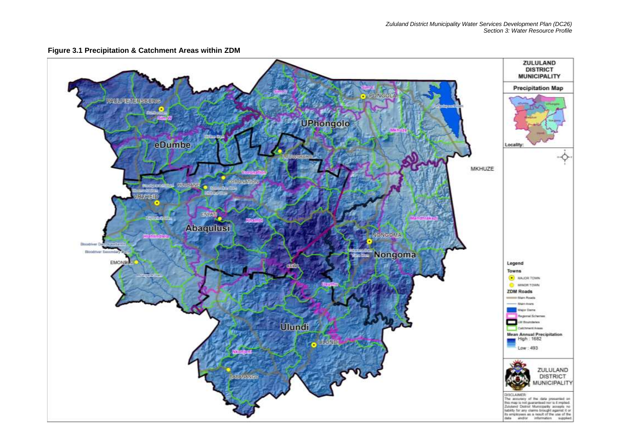

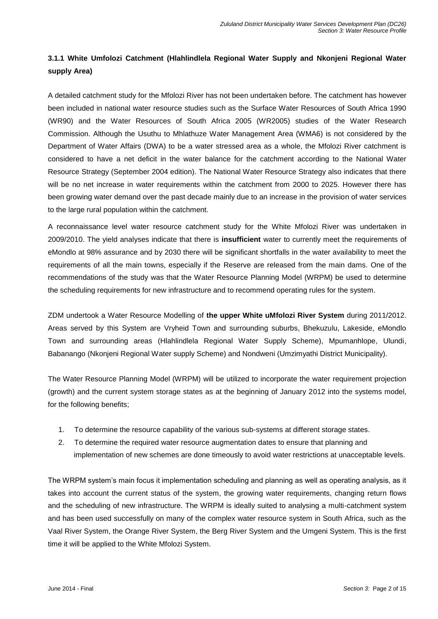### **3.1.1 White Umfolozi Catchment (Hlahlindlela Regional Water Supply and Nkonjeni Regional Water supply Area)**

A detailed catchment study for the Mfolozi River has not been undertaken before. The catchment has however been included in national water resource studies such as the Surface Water Resources of South Africa 1990 (WR90) and the Water Resources of South Africa 2005 (WR2005) studies of the Water Research Commission. Although the Usuthu to Mhlathuze Water Management Area (WMA6) is not considered by the Department of Water Affairs (DWA) to be a water stressed area as a whole, the Mfolozi River catchment is considered to have a net deficit in the water balance for the catchment according to the National Water Resource Strategy (September 2004 edition). The National Water Resource Strategy also indicates that there will be no net increase in water requirements within the catchment from 2000 to 2025. However there has been growing water demand over the past decade mainly due to an increase in the provision of water services to the large rural population within the catchment.

A reconnaissance level water resource catchment study for the White Mfolozi River was undertaken in 2009/2010. The yield analyses indicate that there is **insufficient** water to currently meet the requirements of eMondlo at 98% assurance and by 2030 there will be significant shortfalls in the water availability to meet the requirements of all the main towns, especially if the Reserve are released from the main dams. One of the recommendations of the study was that the Water Resource Planning Model (WRPM) be used to determine the scheduling requirements for new infrastructure and to recommend operating rules for the system.

ZDM undertook a Water Resource Modelling of **the upper White uMfolozi River System** during 2011/2012. Areas served by this System are Vryheid Town and surrounding suburbs, Bhekuzulu, Lakeside, eMondlo Town and surrounding areas (Hlahlindlela Regional Water Supply Scheme), Mpumanhlope, Ulundi, Babanango (Nkonjeni Regional Water supply Scheme) and Nondweni (Umzimyathi District Municipality).

The Water Resource Planning Model (WRPM) will be utilized to incorporate the water requirement projection (growth) and the current system storage states as at the beginning of January 2012 into the systems model, for the following benefits;

- 1. To determine the resource capability of the various sub-systems at different storage states.
- 2. To determine the required water resource augmentation dates to ensure that planning and implementation of new schemes are done timeously to avoid water restrictions at unacceptable levels.

The WRPM system's main focus it implementation scheduling and planning as well as operating analysis, as it takes into account the current status of the system, the growing water requirements, changing return flows and the scheduling of new infrastructure. The WRPM is ideally suited to analysing a multi-catchment system and has been used successfully on many of the complex water resource system in South Africa, such as the Vaal River System, the Orange River System, the Berg River System and the Umgeni System. This is the first time it will be applied to the White Mfolozi System.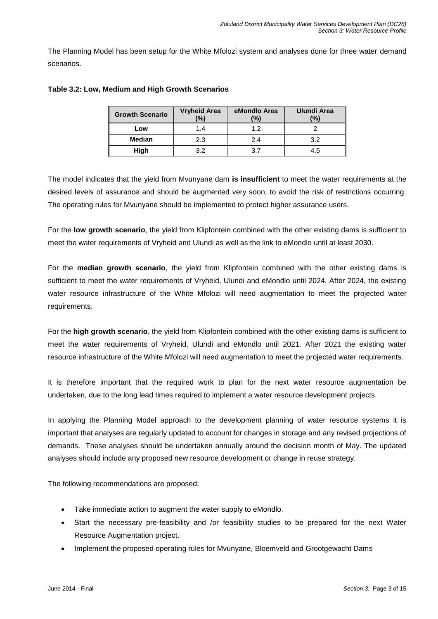The Planning Model has been setup for the White Mfolozi system and analyses done for three water demand scenarios.

| <b>Growth Scenario</b> | <b>Vryheid Area</b><br>$\frac{10}{6}$ | eMondlo Area<br>(%) | <b>Ulundi Area</b><br>$\frac{10}{6}$ |
|------------------------|---------------------------------------|---------------------|--------------------------------------|
| Low                    | 1.4                                   | 1.2                 |                                      |
| <b>Median</b>          | 2.3                                   | 2.4                 | 3.2                                  |
| High                   | っっ                                    | 3.7                 | 4.5                                  |

#### **Table 3.2: Low, Medium and High Growth Scenarios**

The model indicates that the yield from Mvunyane dam **is insufficient** to meet the water requirements at the desired levels of assurance and should be augmented very soon, to avoid the risk of restrictions occurring. The operating rules for Mvunyane should be implemented to protect higher assurance users.

For the **low growth scenario**, the yield from Klipfontein combined with the other existing dams is sufficient to meet the water requirements of Vryheid and Ulundi as well as the link to eMondlo until at least 2030.

For the **median growth scenario**, the yield from Klipfontein combined with the other existing dams is sufficient to meet the water requirements of Vryheid, Ulundi and eMondlo until 2024. After 2024, the existing water resource infrastructure of the White Mfolozi will need augmentation to meet the projected water requirements.

For the **high growth scenario**, the yield from Klipfontein combined with the other existing dams is sufficient to meet the water requirements of Vryheid, Ulundi and eMondlo until 2021. After 2021 the existing water resource infrastructure of the White Mfolozi will need augmentation to meet the projected water requirements.

It is therefore important that the required work to plan for the next water resource augmentation be undertaken, due to the long lead times required to implement a water resource development projects.

In applying the Planning Model approach to the development planning of water resource systems it is important that analyses are regularly updated to account for changes in storage and any revised projections of demands. These analyses should be undertaken annually around the decision month of May. The updated analyses should include any proposed new resource development or change in reuse strategy.

The following recommendations are proposed:

- Take immediate action to augment the water supply to eMondlo.
- Start the necessary pre-feasibility and /or feasibility studies to be prepared for the next Water Resource Augmentation project.
- Implement the proposed operating rules for Mvunyane, Bloemveld and Grootgewacht Dams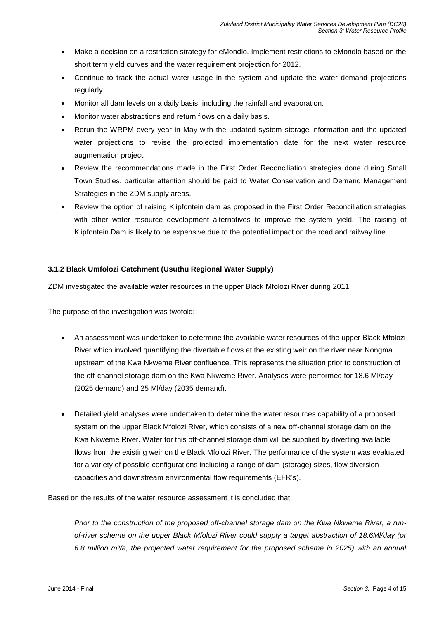- Make a decision on a restriction strategy for eMondlo. Implement restrictions to eMondlo based on the short term yield curves and the water requirement projection for 2012.
- Continue to track the actual water usage in the system and update the water demand projections regularly.
- Monitor all dam levels on a daily basis, including the rainfall and evaporation.
- Monitor water abstractions and return flows on a daily basis.
- Rerun the WRPM every year in May with the updated system storage information and the updated water projections to revise the projected implementation date for the next water resource augmentation project.
- Review the recommendations made in the First Order Reconciliation strategies done during Small Town Studies, particular attention should be paid to Water Conservation and Demand Management Strategies in the ZDM supply areas.
- Review the option of raising Klipfontein dam as proposed in the First Order Reconciliation strategies with other water resource development alternatives to improve the system yield. The raising of Klipfontein Dam is likely to be expensive due to the potential impact on the road and railway line.

#### **3.1.2 Black Umfolozi Catchment (Usuthu Regional Water Supply)**

ZDM investigated the available water resources in the upper Black Mfolozi River during 2011.

The purpose of the investigation was twofold:

- An assessment was undertaken to determine the available water resources of the upper Black Mfolozi River which involved quantifying the divertable flows at the existing weir on the river near Nongma upstream of the Kwa Nkweme River confluence. This represents the situation prior to construction of the off-channel storage dam on the Kwa Nkweme River. Analyses were performed for 18.6 Ml/day (2025 demand) and 25 Ml/day (2035 demand).
- Detailed yield analyses were undertaken to determine the water resources capability of a proposed system on the upper Black Mfolozi River, which consists of a new off-channel storage dam on the Kwa Nkweme River. Water for this off-channel storage dam will be supplied by diverting available flows from the existing weir on the Black Mfolozi River. The performance of the system was evaluated for a variety of possible configurations including a range of dam (storage) sizes, flow diversion capacities and downstream environmental flow requirements (EFR's).

Based on the results of the water resource assessment it is concluded that:

*Prior to the construction of the proposed off-channel storage dam on the Kwa Nkweme River, a runof-river scheme on the upper Black Mfolozi River could supply a target abstraction of 18.6Ml/day (or 6.8 million m³/a, the projected water requirement for the proposed scheme in 2025) with an annual*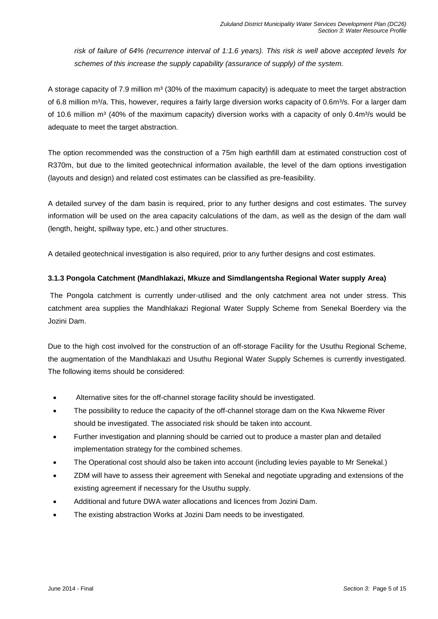*risk of failure of 64% (recurrence interval of 1:1.6 years). This risk is well above accepted levels for schemes of this increase the supply capability (assurance of supply) of the system.*

A storage capacity of 7.9 million  $m<sup>3</sup>$  (30% of the maximum capacity) is adequate to meet the target abstraction of 6.8 million m<sup>3</sup>/a. This, however, requires a fairly large diversion works capacity of 0.6m<sup>3</sup>/s. For a larger dam of 10.6 million m<sup>3</sup> (40% of the maximum capacity) diversion works with a capacity of only 0.4m<sup>3</sup>/s would be adequate to meet the target abstraction.

The option recommended was the construction of a 75m high earthfill dam at estimated construction cost of R370m, but due to the limited geotechnical information available, the level of the dam options investigation (layouts and design) and related cost estimates can be classified as pre-feasibility.

A detailed survey of the dam basin is required, prior to any further designs and cost estimates. The survey information will be used on the area capacity calculations of the dam, as well as the design of the dam wall (length, height, spillway type, etc.) and other structures.

A detailed geotechnical investigation is also required, prior to any further designs and cost estimates.

#### **3.1.3 Pongola Catchment (Mandhlakazi, Mkuze and Simdlangentsha Regional Water supply Area)**

The Pongola catchment is currently under-utilised and the only catchment area not under stress. This catchment area supplies the Mandhlakazi Regional Water Supply Scheme from Senekal Boerdery via the Jozini Dam.

Due to the high cost involved for the construction of an off-storage Facility for the Usuthu Regional Scheme, the augmentation of the Mandhlakazi and Usuthu Regional Water Supply Schemes is currently investigated. The following items should be considered:

- Alternative sites for the off-channel storage facility should be investigated.
- The possibility to reduce the capacity of the off-channel storage dam on the Kwa Nkweme River should be investigated. The associated risk should be taken into account.
- Further investigation and planning should be carried out to produce a master plan and detailed implementation strategy for the combined schemes.
- The Operational cost should also be taken into account (including levies payable to Mr Senekal.)
- ZDM will have to assess their agreement with Senekal and negotiate upgrading and extensions of the existing agreement if necessary for the Usuthu supply.
- Additional and future DWA water allocations and licences from Jozini Dam.
- The existing abstraction Works at Jozini Dam needs to be investigated.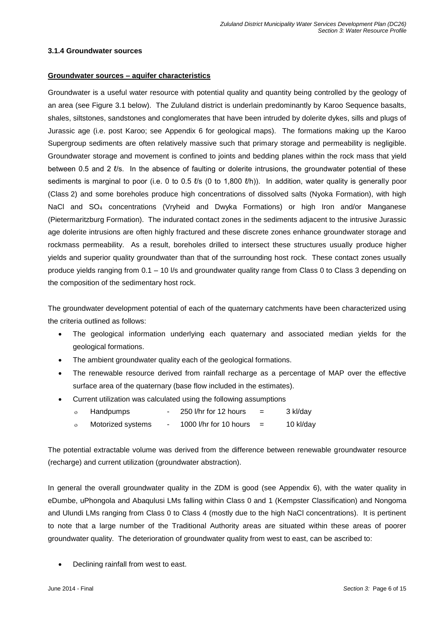#### **3.1.4 Groundwater sources**

#### **Groundwater sources – aquifer characteristics**

Groundwater is a useful water resource with potential quality and quantity being controlled by the geology of an area (see Figure 3.1 below). The Zululand district is underlain predominantly by Karoo Sequence basalts, shales, siltstones, sandstones and conglomerates that have been intruded by dolerite dykes, sills and plugs of Jurassic age (i.e. post Karoo; see Appendix 6 for geological maps). The formations making up the Karoo Supergroup sediments are often relatively massive such that primary storage and permeability is negligible. Groundwater storage and movement is confined to joints and bedding planes within the rock mass that yield between 0.5 and 2 ℓ/s. In the absence of faulting or dolerite intrusions, the groundwater potential of these sediments is marginal to poor (i.e. 0 to 0.5  $\ell$ 's (0 to 1,800  $\ell$ <sup>th</sup>)). In addition, water quality is generally poor (Class 2) and some boreholes produce high concentrations of dissolved salts (Nyoka Formation), with high NaCl and SO<sup>4</sup> concentrations (Vryheid and Dwyka Formations) or high Iron and/or Manganese (Pietermaritzburg Formation). The indurated contact zones in the sediments adjacent to the intrusive Jurassic age dolerite intrusions are often highly fractured and these discrete zones enhance groundwater storage and rockmass permeability. As a result, boreholes drilled to intersect these structures usually produce higher yields and superior quality groundwater than that of the surrounding host rock. These contact zones usually produce yields ranging from 0.1 – 10 l/s and groundwater quality range from Class 0 to Class 3 depending on the composition of the sedimentary host rock.

The groundwater development potential of each of the quaternary catchments have been characterized using the criteria outlined as follows:

- The geological information underlying each quaternary and associated median yields for the geological formations.
- The ambient groundwater quality each of the geological formations.
- The renewable resource derived from rainfall recharge as a percentage of MAP over the effective surface area of the quaternary (base flow included in the estimates).
- Current utilization was calculated using the following assumptions
	- $\circ$  Handpumps 250 l/hr for 12 hours = 3 kl/day
	- $\circ$  Motorized systems 1000 l/hr for 10 hours = 10 kl/day

The potential extractable volume was derived from the difference between renewable groundwater resource (recharge) and current utilization (groundwater abstraction).

In general the overall groundwater quality in the ZDM is good (see Appendix 6), with the water quality in eDumbe, uPhongola and Abaqulusi LMs falling within Class 0 and 1 (Kempster Classification) and Nongoma and Ulundi LMs ranging from Class 0 to Class 4 (mostly due to the high NaCl concentrations). It is pertinent to note that a large number of the Traditional Authority areas are situated within these areas of poorer groundwater quality. The deterioration of groundwater quality from west to east, can be ascribed to:

Declining rainfall from west to east.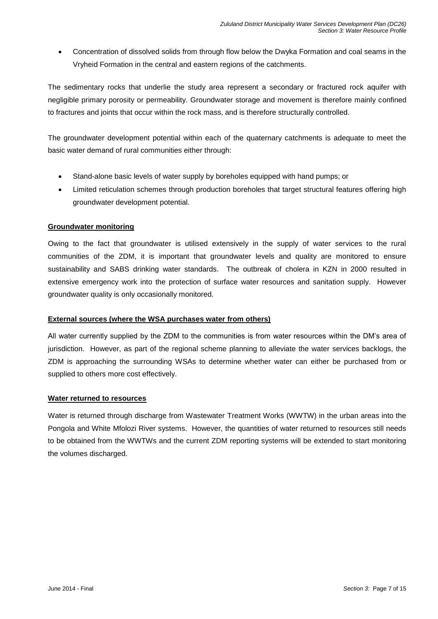Concentration of dissolved solids from through flow below the Dwyka Formation and coal seams in the Vryheid Formation in the central and eastern regions of the catchments.

The sedimentary rocks that underlie the study area represent a secondary or fractured rock aquifer with negligible primary porosity or permeability. Groundwater storage and movement is therefore mainly confined to fractures and joints that occur within the rock mass, and is therefore structurally controlled.

The groundwater development potential within each of the quaternary catchments is adequate to meet the basic water demand of rural communities either through:

- Stand-alone basic levels of water supply by boreholes equipped with hand pumps; or
- Limited reticulation schemes through production boreholes that target structural features offering high groundwater development potential.

#### **Groundwater monitoring**

Owing to the fact that groundwater is utilised extensively in the supply of water services to the rural communities of the ZDM, it is important that groundwater levels and quality are monitored to ensure sustainability and SABS drinking water standards. The outbreak of cholera in KZN in 2000 resulted in extensive emergency work into the protection of surface water resources and sanitation supply. However groundwater quality is only occasionally monitored.

#### **External sources (where the WSA purchases water from others)**

All water currently supplied by the ZDM to the communities is from water resources within the DM's area of jurisdiction. However, as part of the regional scheme planning to alleviate the water services backlogs, the ZDM is approaching the surrounding WSAs to determine whether water can either be purchased from or supplied to others more cost effectively.

#### **Water returned to resources**

Water is returned through discharge from Wastewater Treatment Works (WWTW) in the urban areas into the Pongola and White Mfolozi River systems. However, the quantities of water returned to resources still needs to be obtained from the WWTWs and the current ZDM reporting systems will be extended to start monitoring the volumes discharged.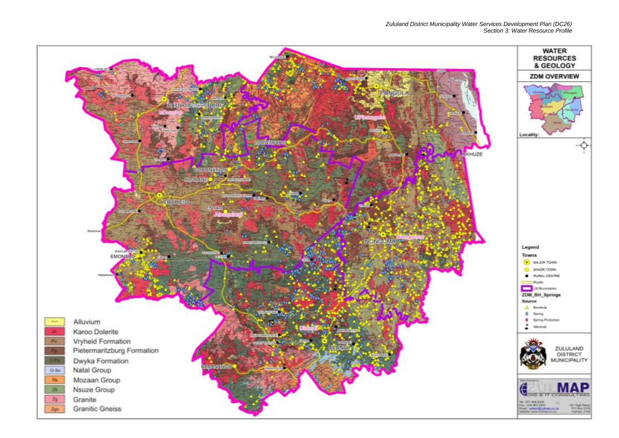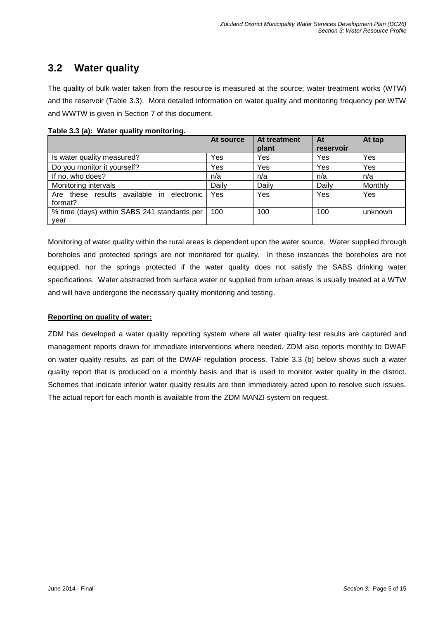## **3.2 Water quality**

The quality of bulk water taken from the resource is measured at the source; water treatment works (WTW) and the reservoir (Table 3.3). More detailed information on water quality and monitoring frequency per WTW and WWTW is given in Section 7 of this document.

|                                             | At source | At treatment | At        | At tap  |
|---------------------------------------------|-----------|--------------|-----------|---------|
|                                             |           | plant        | reservoir |         |
| Is water quality measured?                  | Yes       | Yes          | Yes       | Yes     |
| Do you monitor it yourself?                 | Yes       | Yes          | Yes       | Yes     |
| If no, who does?                            | n/a       | n/a          | n/a       | n/a     |
| Monitoring intervals                        | Daily     | Daily        | Daily     | Monthly |
| Are these results available in electronic   | Yes       | Yes          | Yes       | Yes     |
| format?                                     |           |              |           |         |
| % time (days) within SABS 241 standards per | 100       | 100          | 100       | unknown |
| year                                        |           |              |           |         |

**Table 3.3 (a): Water quality monitoring.**

Monitoring of water quality within the rural areas is dependent upon the water source. Water supplied through boreholes and protected springs are not monitored for quality. In these instances the boreholes are not equipped, nor the springs protected if the water quality does not satisfy the SABS drinking water specifications. Water abstracted from surface water or supplied from urban areas is usually treated at a WTW and will have undergone the necessary quality monitoring and testing.

#### **Reporting on quality of water:**

ZDM has developed a water quality reporting system where all water quality test results are captured and management reports drawn for immediate interventions where needed. ZDM also reports monthly to DWAF on water quality results, as part of the DWAF regulation process. Table 3.3 (b) below shows such a water quality report that is produced on a monthly basis and that is used to monitor water quality in the district. Schemes that indicate inferior water quality results are then immediately acted upon to resolve such issues. The actual report for each month is available from the ZDM MANZI system on request.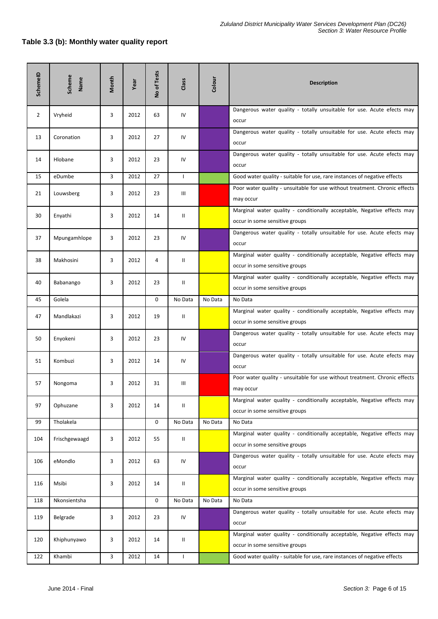#### **Table 3.3 (b): Monthly water quality report**

| SchemeID       | Scheme<br>Name | Month | Year | No of Tests | Class        | Colour  | <b>Description</b>                                                                                        |  |
|----------------|----------------|-------|------|-------------|--------------|---------|-----------------------------------------------------------------------------------------------------------|--|
| $\overline{2}$ | Vryheid        | 3     | 2012 | 63          | IV           |         | Dangerous water quality - totally unsuitable for use. Acute efects may<br>occur                           |  |
| 13             | Coronation     | 3     | 2012 | 27          | IV           |         | Dangerous water quality - totally unsuitable for use. Acute efects may<br>occur                           |  |
| 14             | Hlobane        | 3     | 2012 | 23          | IV           |         | Dangerous water quality - totally unsuitable for use. Acute efects may<br>occur                           |  |
| 15             | eDumbe         | 3     | 2012 | 27          | $\mathsf{L}$ |         | Good water quality - suitable for use, rare instances of negative effects                                 |  |
| 21             | Louwsberg      | 3     | 2012 | 23          | Ш            |         | Poor water quality - unsuitable for use without treatment. Chronic effects<br>may occur                   |  |
| 30             | Enyathi        | 3     | 2012 | 14          | Ш            |         | Marginal water quality - conditionally acceptable, Negative effects may<br>occur in some sensitive groups |  |
| 37             | Mpungamhlope   | 3     | 2012 | 23          | IV           |         | Dangerous water quality - totally unsuitable for use. Acute efects may<br>occur                           |  |
| 38             | Makhosini      | 3     | 2012 | 4           | Ш            |         | Marginal water quality - conditionally acceptable, Negative effects may<br>occur in some sensitive groups |  |
| 40             | Babanango      | 3     | 2012 | 23          | Ш            |         | Marginal water quality - conditionally acceptable, Negative effects may<br>occur in some sensitive groups |  |
| 45             | Golela         |       |      | $\mathbf 0$ | No Data      | No Data | No Data                                                                                                   |  |
| 47             | Mandlakazi     | 3     | 2012 | 19          | Ш            |         | Marginal water quality - conditionally acceptable, Negative effects may<br>occur in some sensitive groups |  |
| 50             | Enyokeni       | 3     | 2012 | 23          | IV           |         | Dangerous water quality - totally unsuitable for use. Acute efects may<br>occur                           |  |
| 51             | Kombuzi        | 3     | 2012 | 14          | IV           |         | Dangerous water quality - totally unsuitable for use. Acute efects may<br>occur                           |  |
| 57             | Nongoma        | 3     | 2012 | 31          | Ш            |         | Poor water quality - unsuitable for use without treatment. Chronic effects<br>may occur                   |  |
| 97             | Ophuzane       | 3     | 2012 | 14          | Ш            |         | Marginal water quality - conditionally acceptable, Negative effects may<br>occur in some sensitive groups |  |
| 99             | Tholakela      |       |      | 0           | No Data      | No Data | No Data                                                                                                   |  |
| 104            | Frischgewaagd  | 3     | 2012 | 55          | Ш            |         | Marginal water quality - conditionally acceptable, Negative effects may<br>occur in some sensitive groups |  |
| 106            | eMondlo        | 3     | 2012 | 63          | IV           |         | Dangerous water quality - totally unsuitable for use. Acute efects may<br>occur                           |  |
| 116            | Msibi          | 3     | 2012 | 14          | Ш            |         | Marginal water quality - conditionally acceptable, Negative effects may<br>occur in some sensitive groups |  |
| 118            | Nkonsientsha   |       |      | 0           | No Data      | No Data | No Data                                                                                                   |  |
| 119            | Belgrade       | 3     | 2012 | 23          | IV           |         | Dangerous water quality - totally unsuitable for use. Acute efects may<br>occur                           |  |
| 120            | Khiphunyawo    | 3     | 2012 | 14          | Ш            |         | Marginal water quality - conditionally acceptable, Negative effects may<br>occur in some sensitive groups |  |
| 122            | Khambi         | 3     | 2012 | 14          | L            |         | Good water quality - suitable for use, rare instances of negative effects                                 |  |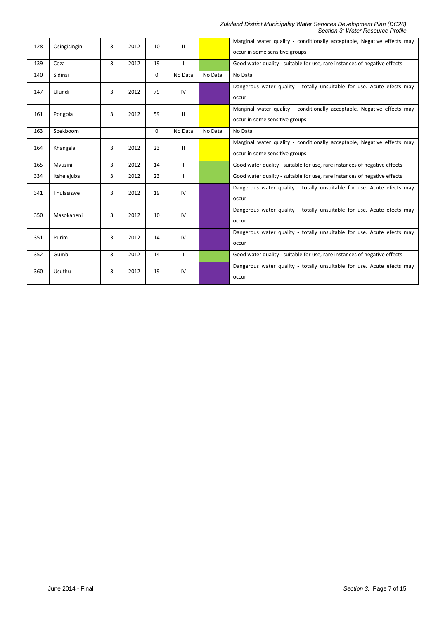#### *Zululand District Municipality Water Services Development Plan (DC26) Section 3: Water Resource Profile*

| 128 | Osingisingini | 3              | 2012 | 10       | Ш            |         | Marginal water quality - conditionally acceptable, Negative effects may<br>occur in some sensitive groups |
|-----|---------------|----------------|------|----------|--------------|---------|-----------------------------------------------------------------------------------------------------------|
| 139 | Ceza          | $\overline{3}$ | 2012 | 19       | L            |         | Good water quality - suitable for use, rare instances of negative effects                                 |
| 140 | Sidinsi       |                |      | $\Omega$ | No Data      | No Data | No Data                                                                                                   |
| 147 | Ulundi        | 3              | 2012 | 79       | IV           |         | Dangerous water quality - totally unsuitable for use. Acute efects may<br>occur                           |
| 161 | Pongola       | 3              | 2012 | 59       | Ш            |         | Marginal water quality - conditionally acceptable, Negative effects may<br>occur in some sensitive groups |
| 163 | Spekboom      |                |      | $\Omega$ | No Data      | No Data | No Data                                                                                                   |
| 164 | Khangela      | 3              | 2012 | 23       | Ш            |         | Marginal water quality - conditionally acceptable, Negative effects may<br>occur in some sensitive groups |
|     |               |                |      |          |              |         |                                                                                                           |
| 165 | Mvuzini       | $\overline{3}$ | 2012 | 14       | $\mathbf{I}$ |         | Good water quality - suitable for use, rare instances of negative effects                                 |
| 334 | Itshelejuba   | $\overline{3}$ | 2012 | 23       | $\mathbf{I}$ |         | Good water quality - suitable for use, rare instances of negative effects                                 |
| 341 | Thulasizwe    | 3              | 2012 | 19       | IV           |         | Dangerous water quality - totally unsuitable for use. Acute efects may<br>occur                           |
| 350 | Masokaneni    | 3              | 2012 | 10       | IV           |         | Dangerous water quality - totally unsuitable for use. Acute efects may<br>occur                           |
| 351 | Purim         | 3              | 2012 | 14       | IV           |         | Dangerous water quality - totally unsuitable for use. Acute efects may<br>occur                           |
| 352 | Gumbi         | 3              | 2012 | 14       | L            |         | Good water quality - suitable for use, rare instances of negative effects                                 |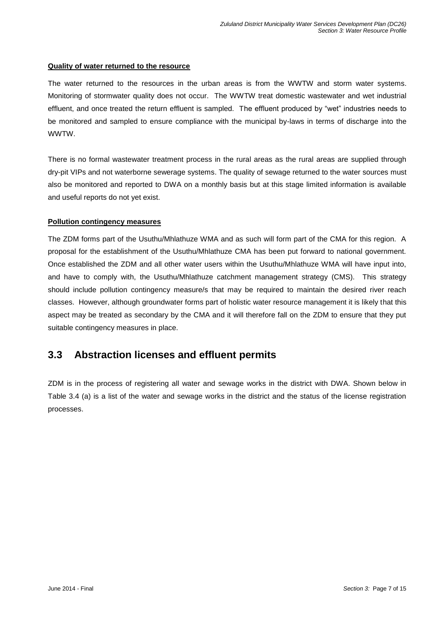#### **Quality of water returned to the resource**

The water returned to the resources in the urban areas is from the WWTW and storm water systems. Monitoring of stormwater quality does not occur. The WWTW treat domestic wastewater and wet industrial effluent, and once treated the return effluent is sampled. The effluent produced by "wet" industries needs to be monitored and sampled to ensure compliance with the municipal by-laws in terms of discharge into the WWTW.

There is no formal wastewater treatment process in the rural areas as the rural areas are supplied through dry-pit VIPs and not waterborne sewerage systems. The quality of sewage returned to the water sources must also be monitored and reported to DWA on a monthly basis but at this stage limited information is available and useful reports do not yet exist.

#### **Pollution contingency measures**

The ZDM forms part of the Usuthu/Mhlathuze WMA and as such will form part of the CMA for this region. A proposal for the establishment of the Usuthu/Mhlathuze CMA has been put forward to national government. Once established the ZDM and all other water users within the Usuthu/Mhlathuze WMA will have input into, and have to comply with, the Usuthu/Mhlathuze catchment management strategy (CMS). This strategy should include pollution contingency measure/s that may be required to maintain the desired river reach classes. However, although groundwater forms part of holistic water resource management it is likely that this aspect may be treated as secondary by the CMA and it will therefore fall on the ZDM to ensure that they put suitable contingency measures in place.

## **3.3 Abstraction licenses and effluent permits**

ZDM is in the process of registering all water and sewage works in the district with DWA. Shown below in Table 3.4 (a) is a list of the water and sewage works in the district and the status of the license registration processes.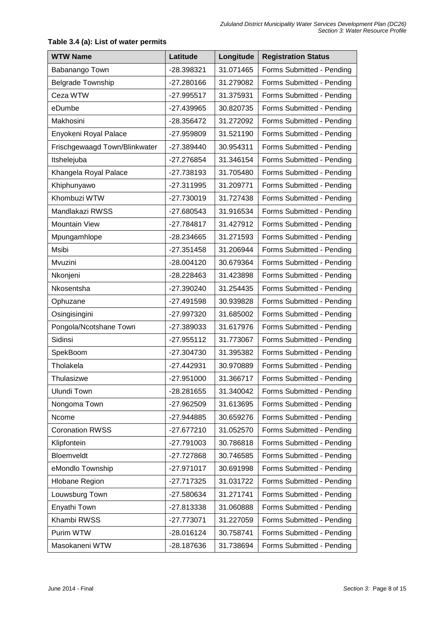| <b>WTW Name</b>               | Latitude     | Longitude | <b>Registration Status</b> |
|-------------------------------|--------------|-----------|----------------------------|
| Babanango Town                | -28.398321   | 31.071465 | Forms Submitted - Pending  |
| <b>Belgrade Township</b>      | $-27.280166$ | 31.279082 | Forms Submitted - Pending  |
| Ceza WTW                      | -27.995517   | 31.375931 | Forms Submitted - Pending  |
| eDumbe                        | -27.439965   | 30.820735 | Forms Submitted - Pending  |
| Makhosini                     | -28.356472   | 31.272092 | Forms Submitted - Pending  |
| Enyokeni Royal Palace         | -27.959809   | 31.521190 | Forms Submitted - Pending  |
| Frischgewaagd Town/Blinkwater | -27.389440   | 30.954311 | Forms Submitted - Pending  |
| Itshelejuba                   | -27.276854   | 31.346154 | Forms Submitted - Pending  |
| Khangela Royal Palace         | -27.738193   | 31.705480 | Forms Submitted - Pending  |
| Khiphunyawo                   | $-27.311995$ | 31.209771 | Forms Submitted - Pending  |
| Khombuzi WTW                  | -27.730019   | 31.727438 | Forms Submitted - Pending  |
| Mandlakazi RWSS               | -27.680543   | 31.916534 | Forms Submitted - Pending  |
| Mountain View                 | -27.784817   | 31.427912 | Forms Submitted - Pending  |
| Mpungamhlope                  | -28.234665   | 31.271593 | Forms Submitted - Pending  |
| Msibi                         | $-27.351458$ | 31.206944 | Forms Submitted - Pending  |
| Mvuzini                       | -28.004120   | 30.679364 | Forms Submitted - Pending  |
| Nkonjeni                      | -28.228463   | 31.423898 | Forms Submitted - Pending  |
| Nkosentsha                    | $-27.390240$ | 31.254435 | Forms Submitted - Pending  |
| Ophuzane                      | -27.491598   | 30.939828 | Forms Submitted - Pending  |
| Osingisingini                 | -27.997320   | 31.685002 | Forms Submitted - Pending  |
| Pongola/Ncotshane Town        | -27.389033   | 31.617976 | Forms Submitted - Pending  |
| Sidinsi                       | -27.955112   | 31.773067 | Forms Submitted - Pending  |
| SpekBoom                      | $-27.304730$ | 31.395382 | Forms Submitted - Pending  |
| Tholakela                     | -27.442931   | 30.970889 | Forms Submitted - Pending  |
| Thulasizwe                    | 27.951000    | 31.366717 | Forms Submitted - Pending  |
| <b>Ulundi Town</b>            | -28.281655   | 31.340042 | Forms Submitted - Pending  |
| Nongoma Town                  | -27.962509   | 31.613695 | Forms Submitted - Pending  |
| Ncome                         | -27.944885   | 30.659276 | Forms Submitted - Pending  |
| <b>Coronation RWSS</b>        | -27.677210   | 31.052570 | Forms Submitted - Pending  |
| Klipfontein                   | $-27.791003$ | 30.786818 | Forms Submitted - Pending  |
| Bloemveldt                    | -27.727868   | 30.746585 | Forms Submitted - Pending  |
| eMondlo Township              | $-27.971017$ | 30.691998 | Forms Submitted - Pending  |
| <b>Hlobane Region</b>         | $-27.717325$ | 31.031722 | Forms Submitted - Pending  |
| Louwsburg Town                | -27.580634   | 31.271741 | Forms Submitted - Pending  |
| Enyathi Town                  | -27.813338   | 31.060888 | Forms Submitted - Pending  |
| Khambi RWSS                   | $-27.773071$ | 31.227059 | Forms Submitted - Pending  |
| Purim WTW                     | -28.016124   | 30.758741 | Forms Submitted - Pending  |
| Masokaneni WTW                | -28.187636   | 31.738694 | Forms Submitted - Pending  |

#### **Table 3.4 (a): List of water permits**